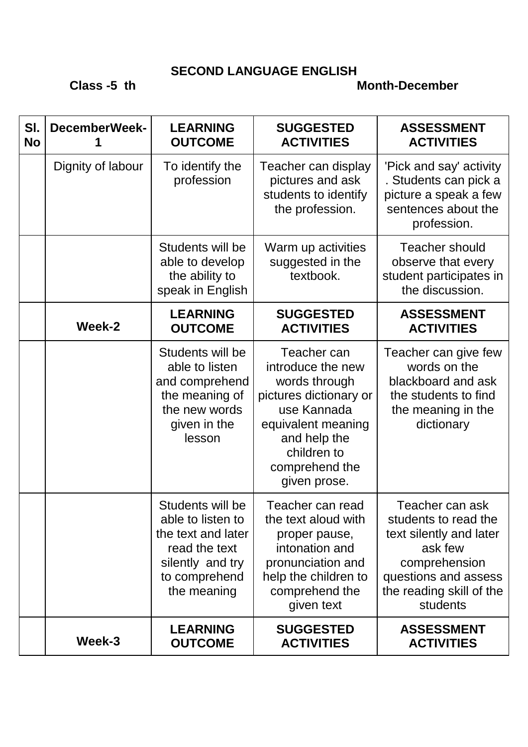## **SECOND LANGUAGE ENGLISH**

## **Class -5 th Month-December**

| SI.<br><b>No</b> | <b>DecemberWeek-</b> | <b>LEARNING</b><br><b>OUTCOME</b>                                                                                                | <b>SUGGESTED</b><br><b>ACTIVITIES</b>                                                                                                                                             | <b>ASSESSMENT</b><br><b>ACTIVITIES</b>                                                                                                                         |
|------------------|----------------------|----------------------------------------------------------------------------------------------------------------------------------|-----------------------------------------------------------------------------------------------------------------------------------------------------------------------------------|----------------------------------------------------------------------------------------------------------------------------------------------------------------|
|                  | Dignity of labour    | To identify the<br>profession                                                                                                    | Teacher can display<br>pictures and ask<br>students to identify<br>the profession.                                                                                                | 'Pick and say' activity<br>. Students can pick a<br>picture a speak a few<br>sentences about the<br>profession.                                                |
|                  |                      | Students will be<br>able to develop<br>the ability to<br>speak in English                                                        | Warm up activities<br>suggested in the<br>textbook.                                                                                                                               | <b>Teacher should</b><br>observe that every<br>student participates in<br>the discussion.                                                                      |
|                  | Week-2               | <b>LEARNING</b><br><b>OUTCOME</b>                                                                                                | <b>SUGGESTED</b><br><b>ACTIVITIES</b>                                                                                                                                             | <b>ASSESSMENT</b><br><b>ACTIVITIES</b>                                                                                                                         |
|                  |                      | Students will be<br>able to listen<br>and comprehend<br>the meaning of<br>the new words<br>given in the<br>lesson                | Teacher can<br>introduce the new<br>words through<br>pictures dictionary or<br>use Kannada<br>equivalent meaning<br>and help the<br>children to<br>comprehend the<br>given prose. | Teacher can give few<br>words on the<br>blackboard and ask<br>the students to find<br>the meaning in the<br>dictionary                                         |
|                  |                      | Students will be<br>able to listen to<br>the text and later<br>read the text<br>silently and try<br>to comprehend<br>the meaning | Teacher can read<br>the text aloud with<br>proper pause,<br>intonation and<br>pronunciation and<br>help the children to<br>comprehend the<br>given text                           | Teacher can ask<br>students to read the<br>text silently and later<br>ask few<br>comprehension<br>questions and assess<br>the reading skill of the<br>students |
|                  | Week-3               | <b>LEARNING</b><br><b>OUTCOME</b>                                                                                                | <b>SUGGESTED</b><br><b>ACTIVITIES</b>                                                                                                                                             | <b>ASSESSMENT</b><br><b>ACTIVITIES</b>                                                                                                                         |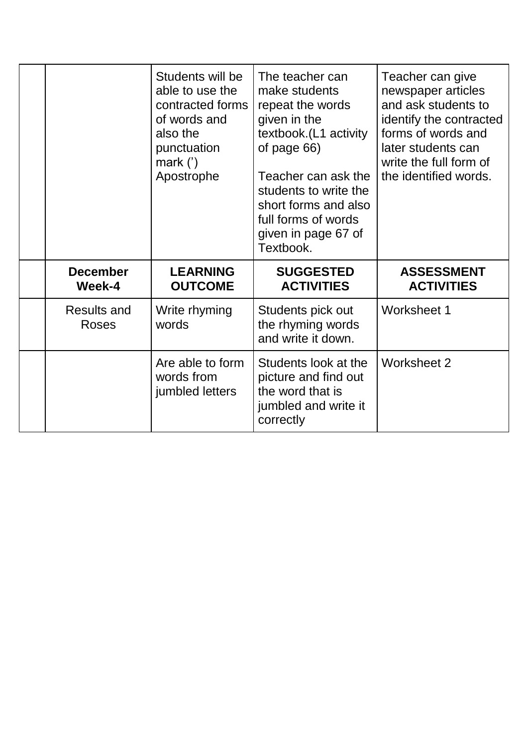|                                    | Students will be<br>able to use the<br>contracted forms<br>of words and<br>also the<br>punctuation<br>mark $(')$<br>Apostrophe | The teacher can<br>make students<br>repeat the words<br>given in the<br>textbook.(L1 activity<br>of page 66)<br>Teacher can ask the<br>students to write the<br>short forms and also<br>full forms of words<br>given in page 67 of<br>Textbook. | Teacher can give<br>newspaper articles<br>and ask students to<br>identify the contracted<br>forms of words and<br>later students can<br>write the full form of<br>the identified words. |
|------------------------------------|--------------------------------------------------------------------------------------------------------------------------------|-------------------------------------------------------------------------------------------------------------------------------------------------------------------------------------------------------------------------------------------------|-----------------------------------------------------------------------------------------------------------------------------------------------------------------------------------------|
| <b>December</b><br>Week-4          | <b>LEARNING</b><br><b>OUTCOME</b>                                                                                              | <b>SUGGESTED</b><br><b>ACTIVITIES</b>                                                                                                                                                                                                           | <b>ASSESSMENT</b><br><b>ACTIVITIES</b>                                                                                                                                                  |
| <b>Results and</b><br><b>Roses</b> | Write rhyming<br>words                                                                                                         | Students pick out<br>the rhyming words<br>and write it down.                                                                                                                                                                                    | Worksheet 1                                                                                                                                                                             |
|                                    | Are able to form                                                                                                               | Students look at the                                                                                                                                                                                                                            | <b>Worksheet 2</b>                                                                                                                                                                      |